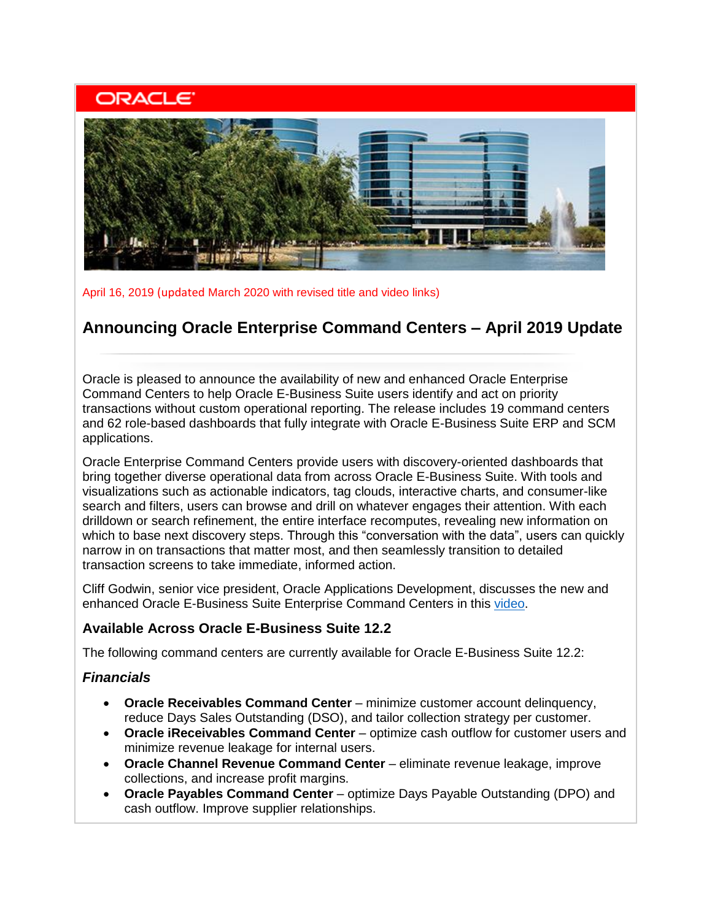# **ORACLE**



April 16, 2019 (updated March 2020 with revised title and video links)

# **Announcing Oracle Enterprise Command Centers – April 2019 Update**

Oracle is pleased to announce the availability of new and enhanced Oracle Enterprise Command Centers to help Oracle E-Business Suite users identify and act on priority transactions without custom operational reporting. The release includes 19 command centers and 62 role-based dashboards that fully integrate with Oracle E-Business Suite ERP and SCM applications.

Oracle Enterprise Command Centers provide users with discovery-oriented dashboards that bring together diverse operational data from across Oracle E-Business Suite. With tools and visualizations such as actionable indicators, tag clouds, interactive charts, and consumer-like search and filters, users can browse and drill on whatever engages their attention. With each drilldown or search refinement, the entire interface recomputes, revealing new information on which to base next discovery steps. Through this "conversation with the data", users can quickly narrow in on transactions that matter most, and then seamlessly transition to detailed transaction screens to take immediate, informed action.

Cliff Godwin, senior vice president, Oracle Applications Development, discusses the new and enhanced Oracle E-Business Suite Enterprise Command Centers in this [video.](https://learn.oracle.com/ols/course/50662/60416)

# **Available Across Oracle E-Business Suite 12.2**

The following command centers are currently available for Oracle E-Business Suite 12.2:

# *Financials*

- **Oracle Receivables Command Center** minimize customer account delinquency, reduce Days Sales Outstanding (DSO), and tailor collection strategy per customer.
- **Oracle iReceivables Command Center** optimize cash outflow for customer users and minimize revenue leakage for internal users.
- **Oracle Channel Revenue Command Center** eliminate revenue leakage, improve collections, and increase profit margins.
- **Oracle Payables Command Center** optimize Days Payable Outstanding (DPO) and cash outflow. Improve supplier relationships.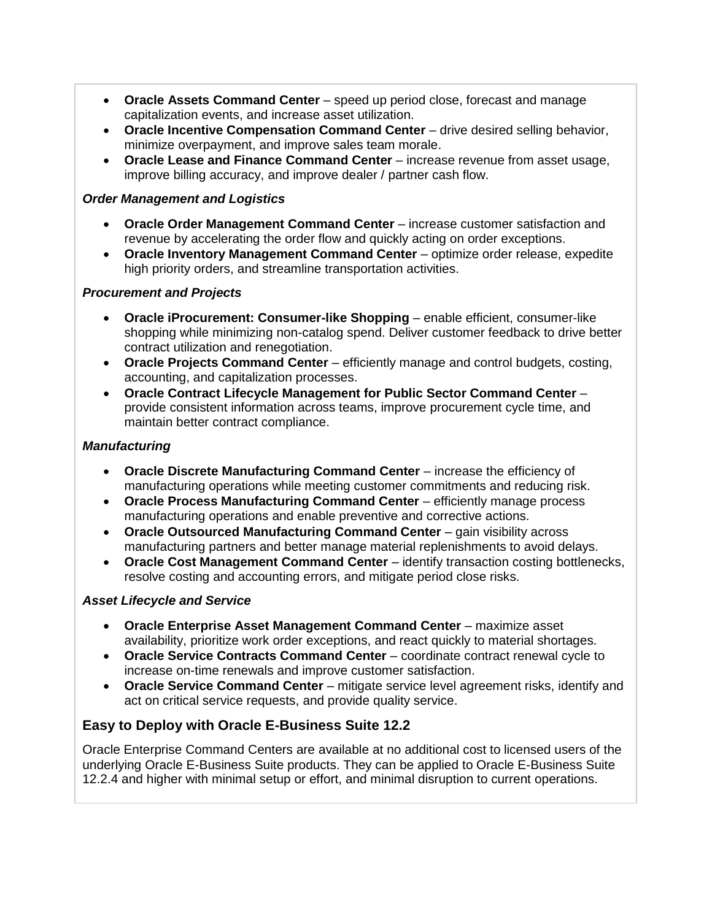- **Oracle Assets Command Center** speed up period close, forecast and manage capitalization events, and increase asset utilization.
- **Oracle Incentive Compensation Command Center** drive desired selling behavior, minimize overpayment, and improve sales team morale.
- **Oracle Lease and Finance Command Center** increase revenue from asset usage, improve billing accuracy, and improve dealer / partner cash flow.

#### *Order Management and Logistics*

- **Oracle Order Management Command Center** increase customer satisfaction and revenue by accelerating the order flow and quickly acting on order exceptions.
- **Oracle Inventory Management Command Center** optimize order release, expedite high priority orders, and streamline transportation activities.

#### *Procurement and Projects*

- **Oracle iProcurement: Consumer-like Shopping** enable efficient, consumer-like shopping while minimizing non-catalog spend. Deliver customer feedback to drive better contract utilization and renegotiation.
- **Oracle Projects Command Center** efficiently manage and control budgets, costing, accounting, and capitalization processes.
- **Oracle Contract Lifecycle Management for Public Sector Command Center** provide consistent information across teams, improve procurement cycle time, and maintain better contract compliance.

#### *Manufacturing*

- **Oracle Discrete Manufacturing Command Center** increase the efficiency of manufacturing operations while meeting customer commitments and reducing risk.
- **Oracle Process Manufacturing Command Center** efficiently manage process manufacturing operations and enable preventive and corrective actions.
- **Oracle Outsourced Manufacturing Command Center** gain visibility across manufacturing partners and better manage material replenishments to avoid delays.
- **Oracle Cost Management Command Center** identify transaction costing bottlenecks, resolve costing and accounting errors, and mitigate period close risks.

#### *Asset Lifecycle and Service*

- **Oracle Enterprise Asset Management Command Center** maximize asset availability, prioritize work order exceptions, and react quickly to material shortages.
- **Oracle Service Contracts Command Center** coordinate contract renewal cycle to increase on-time renewals and improve customer satisfaction.
- **Oracle Service Command Center** mitigate service level agreement risks, identify and act on critical service requests, and provide quality service.

# **Easy to Deploy with Oracle E-Business Suite 12.2**

Oracle Enterprise Command Centers are available at no additional cost to licensed users of the underlying Oracle E-Business Suite products. They can be applied to Oracle E-Business Suite 12.2.4 and higher with minimal setup or effort, and minimal disruption to current operations.